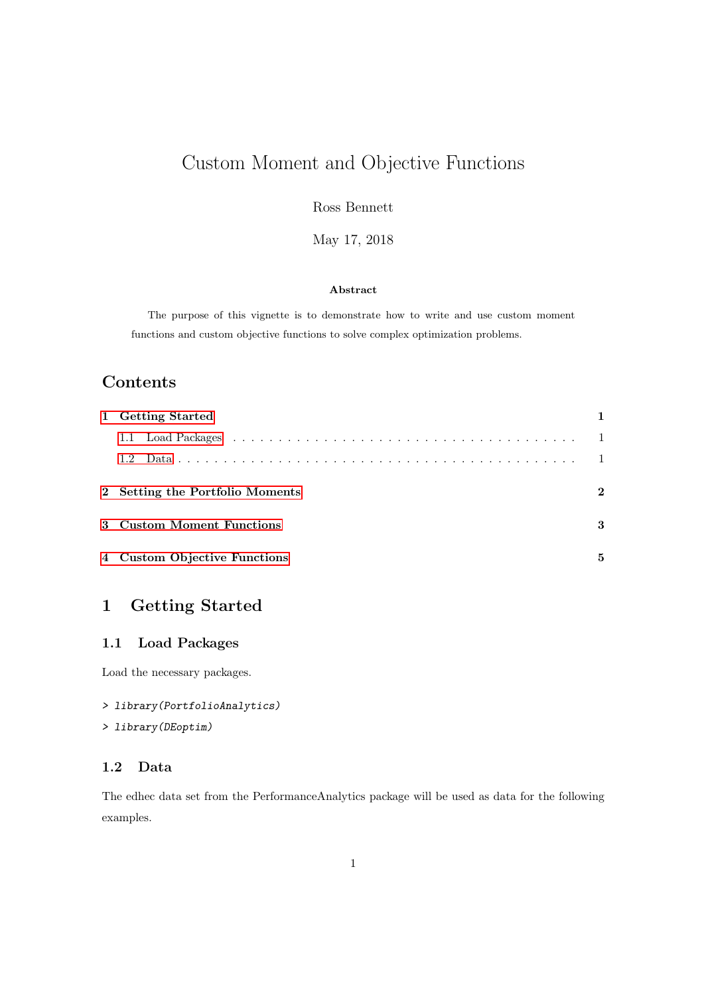# Custom Moment and Objective Functions

Ross Bennett

May 17, 2018

#### Abstract

The purpose of this vignette is to demonstrate how to write and use custom moment functions and custom objective functions to solve complex optimization problems.

# Contents

| 1 Getting Started               |   |
|---------------------------------|---|
|                                 |   |
|                                 |   |
| 2 Setting the Portfolio Moments | 2 |
| 3 Custom Moment Functions       | 3 |
| 4 Custom Objective Functions    | 5 |

# <span id="page-0-0"></span>1 Getting Started

#### <span id="page-0-1"></span>1.1 Load Packages

Load the necessary packages.

```
> library(PortfolioAnalytics)
```
#### > library(DEoptim)

#### <span id="page-0-2"></span>1.2 Data

The edhec data set from the PerformanceAnalytics package will be used as data for the following examples.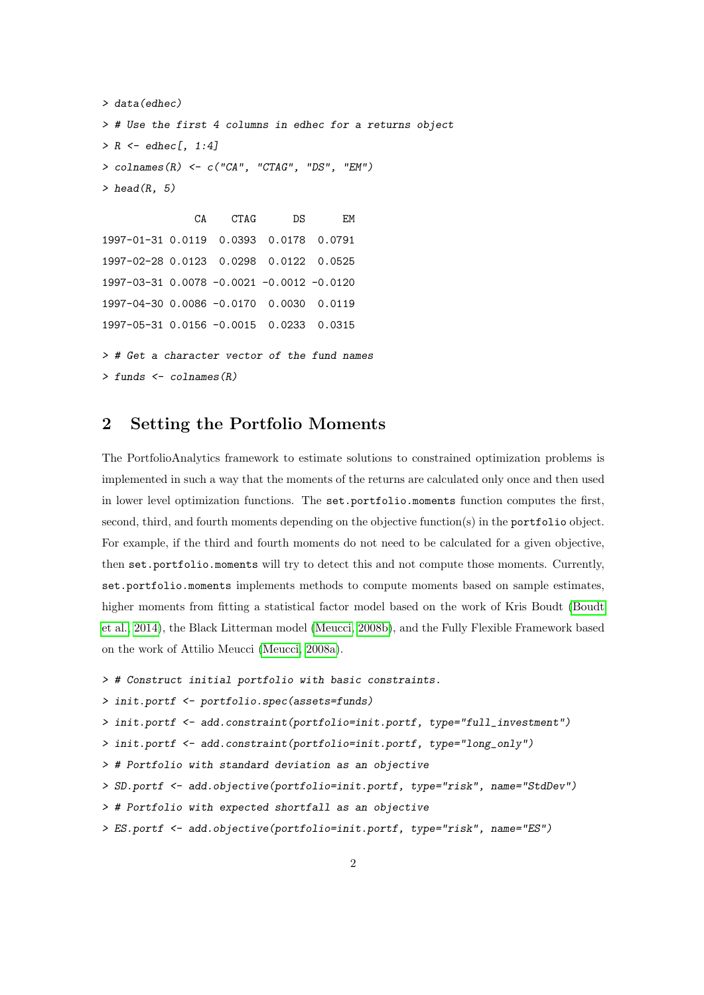```
> data(edhec)
> # Use the first 4 columns in edhec for a returns object
> R \leq - edhec[, 1:4]
> colnames(R) <- c("CA", "CTAG", "DS", "EM")
> head(R, 5)CA CTAG DS EM
```
1997-01-31 0.0119 0.0393 0.0178 0.0791 1997-02-28 0.0123 0.0298 0.0122 0.0525 1997-03-31 0.0078 -0.0021 -0.0012 -0.0120 1997-04-30 0.0086 -0.0170 0.0030 0.0119 1997-05-31 0.0156 -0.0015 0.0233 0.0315 > # Get a character vector of the fund names  $>$  funds  $<-$  colnames(R)

## <span id="page-1-0"></span>2 Setting the Portfolio Moments

The PortfolioAnalytics framework to estimate solutions to constrained optimization problems is implemented in such a way that the moments of the returns are calculated only once and then used in lower level optimization functions. The set.portfolio.moments function computes the first, second, third, and fourth moments depending on the objective function(s) in the portfolio object. For example, if the third and fourth moments do not need to be calculated for a given objective, then set.portfolio.moments will try to detect this and not compute those moments. Currently, set.portfolio.moments implements methods to compute moments based on sample estimates, higher moments from fitting a statistical factor model based on the work of Kris Boudt [\(Boudt](#page-7-0) [et al., 2014\)](#page-7-0), the Black Litterman model [\(Meucci, 2008b\)](#page-7-1), and the Fully Flexible Framework based on the work of Attilio Meucci [\(Meucci, 2008a\)](#page-7-2).

```
> # Construct initial portfolio with basic constraints.
```

```
> init.portf <- portfolio.spec(assets=funds)
```

```
> init.portf <- add.constraint(portfolio=init.portf, type="full_investment")
```

```
> init.portf <- add.constraint(portfolio=init.portf, type="long_only")
```
> # Portfolio with standard deviation as an objective

```
> SD.portf <- add.objective(portfolio=init.portf, type="risk", name="StdDev")
```

```
> # Portfolio with expected shortfall as an objective
```

```
> ES.portf <- add.objective(portfolio=init.portf, type="risk", name="ES")
```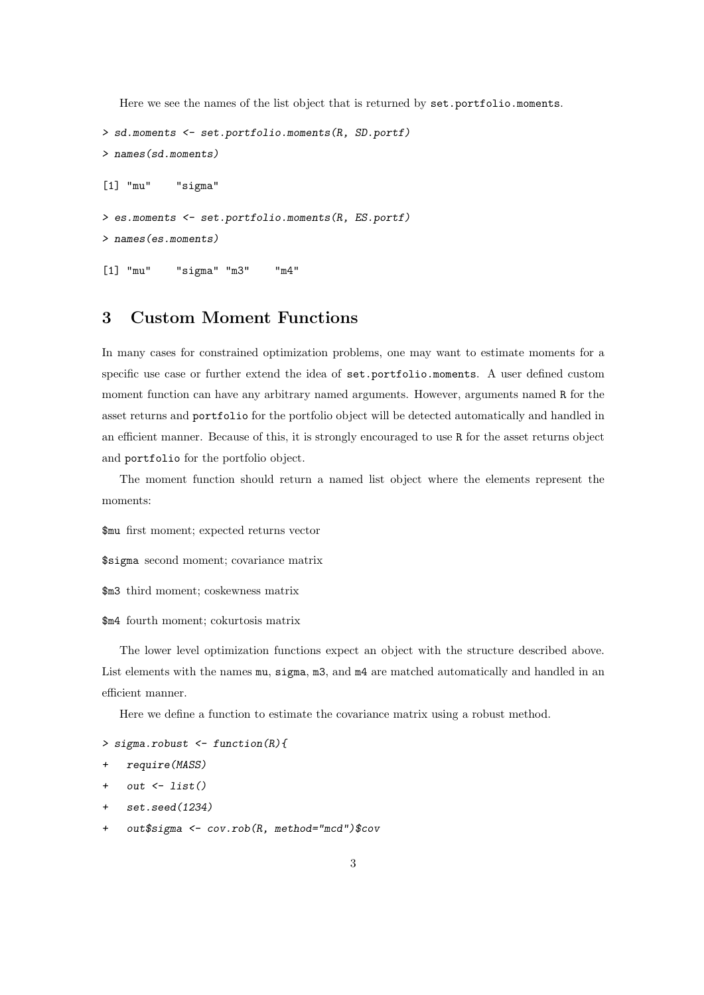Here we see the names of the list object that is returned by set.portfolio.moments.

```
> sd.moments <- set.portfolio.moments(R, SD.portf)
> names(sd.moments)
[1] "mu" "sigma"
> es.moments <- set.portfolio.moments(R, ES.portf)
> names(es.moments)
[1] "mu" "sigma" "m3" "m4"
```
# <span id="page-2-0"></span>3 Custom Moment Functions

In many cases for constrained optimization problems, one may want to estimate moments for a specific use case or further extend the idea of set.portfolio.moments. A user defined custom moment function can have any arbitrary named arguments. However, arguments named R for the asset returns and portfolio for the portfolio object will be detected automatically and handled in an efficient manner. Because of this, it is strongly encouraged to use R for the asset returns object and portfolio for the portfolio object.

The moment function should return a named list object where the elements represent the moments:

\$mu first moment; expected returns vector

\$sigma second moment; covariance matrix

\$m3 third moment; coskewness matrix

#### \$m4 fourth moment; cokurtosis matrix

The lower level optimization functions expect an object with the structure described above. List elements with the names mu, sigma, m3, and m4 are matched automatically and handled in an efficient manner.

Here we define a function to estimate the covariance matrix using a robust method.

```
> sigma.robust <- function(R){
```

```
+ require(MASS)
```
- $+$  out  $\leftarrow$  list()
- + set.seed(1234)
- + out\$sigma <- cov.rob(R, method="mcd")\$cov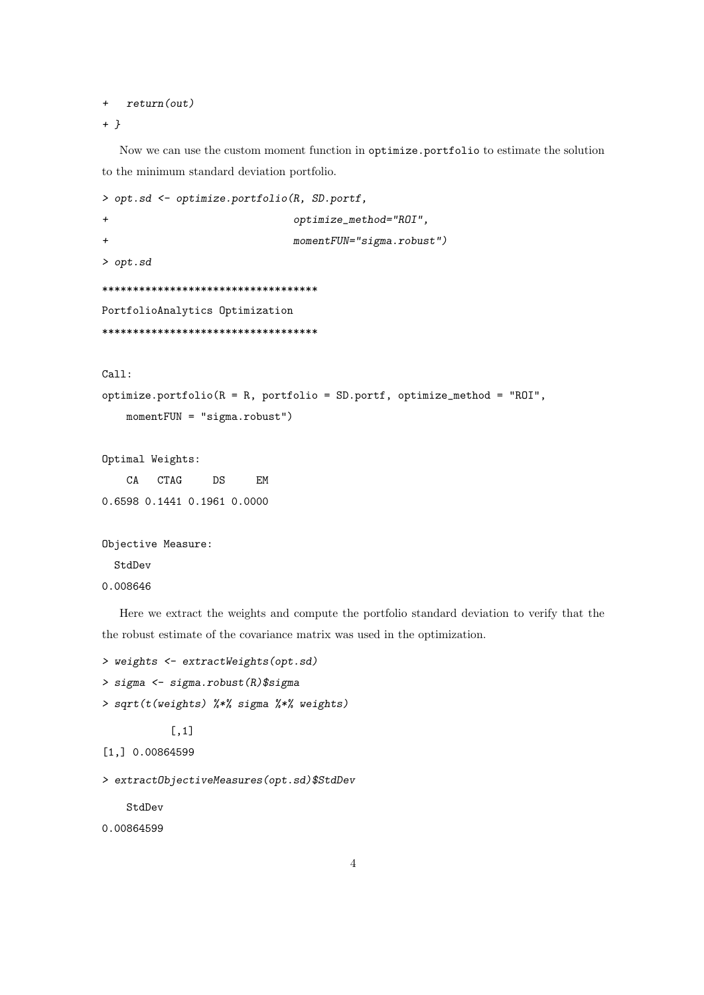```
+ return(out)
```

```
+ }
```
Now we can use the custom moment function in optimize.portfolio to estimate the solution to the minimum standard deviation portfolio.

```
> opt.sd <- optimize.portfolio(R, SD.portf,
+ optimize_method="ROI",
+ momentFUN="sigma.robust")
> opt.sd
***********************************
PortfolioAnalytics Optimization
***********************************
Call:
optimize.portfolio(R = R, portfolio = SD.portf, optimize_method = "ROI",
   momentFUN = "sigma.robust")
Optimal Weights:
   CA CTAG DS EM
0.6598 0.1441 0.1961 0.0000
Objective Measure:
```
**StdDev** 

0.008646

Here we extract the weights and compute the portfolio standard deviation to verify that the the robust estimate of the covariance matrix was used in the optimization.

```
> weights <- extractWeights(opt.sd)
```
> sigma <- sigma.robust(R)\$sigma

```
> sqrt(t(weights) %*% sigma %*% weights)
```

```
[,1]
```

```
[1,] 0.00864599
```

```
> extractObjectiveMeasures(opt.sd)$StdDev
```
StdDev

0.00864599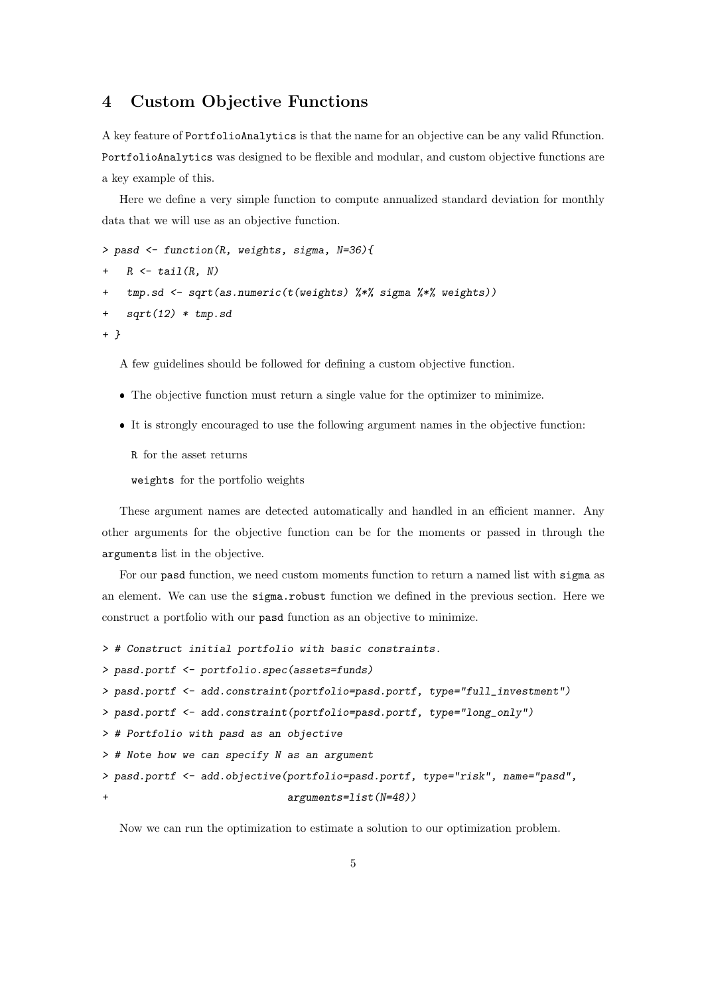### <span id="page-4-0"></span>4 Custom Objective Functions

A key feature of PortfolioAnalytics is that the name for an objective can be any valid Rfunction. PortfolioAnalytics was designed to be flexible and modular, and custom objective functions are a key example of this.

Here we define a very simple function to compute annualized standard deviation for monthly data that we will use as an objective function.

```
> pasd <- function(R, weights, sigma, N=36){
```

```
+ R \leftarrow \text{tail}(R, N)
```

```
tmp.sd <- sqrt(as.numeric(t(weights) %*% sigma %*% weights))
```

```
+ sqrt(12) * tmp.sd
```
+ }

A few guidelines should be followed for defining a custom objective function.

- The objective function must return a single value for the optimizer to minimize.
- It is strongly encouraged to use the following argument names in the objective function:

R for the asset returns

weights for the portfolio weights

These argument names are detected automatically and handled in an efficient manner. Any other arguments for the objective function can be for the moments or passed in through the arguments list in the objective.

For our pasd function, we need custom moments function to return a named list with sigma as an element. We can use the sigma.robust function we defined in the previous section. Here we construct a portfolio with our pasd function as an objective to minimize.

```
> # Construct initial portfolio with basic constraints.
```

```
> pasd.portf <- portfolio.spec(assets=funds)
```

```
> pasd.portf <- add.constraint(portfolio=pasd.portf, type="full_investment")
```

```
> pasd.portf <- add.constraint(portfolio=pasd.portf, type="long_only")
```

```
> # Portfolio with pasd as an objective
```

```
> # Note how we can specify N as an argument
```

```
> pasd.portf <- add.objective(portfolio=pasd.portf, type="risk", name="pasd",
+ arguments=list(N=48))
```
Now we can run the optimization to estimate a solution to our optimization problem.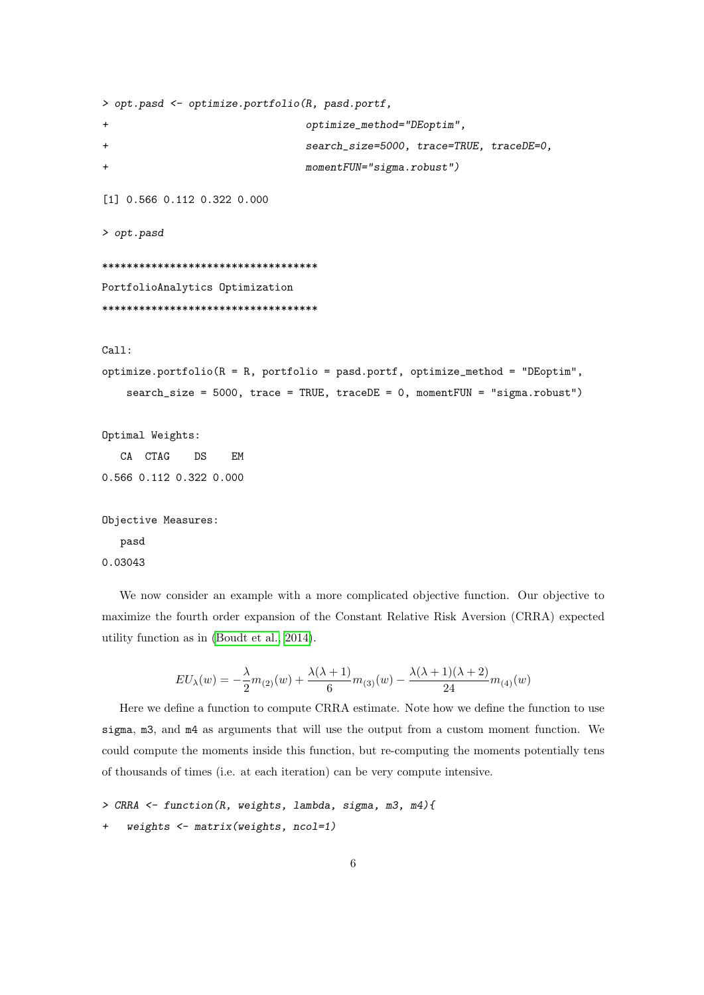```
> opt.pasd <- optimize.portfolio(R, pasd.portf,
+ optimize_method="DEoptim",
+ search_size=5000, trace=TRUE, traceDE=0,
+ momentFUN="sigma.robust")
[1] 0.566 0.112 0.322 0.000
> opt.pasd
***********************************
PortfolioAnalytics Optimization
***********************************
Call:
optimize.portfolio(R = R, portfolio = pasd.portf, optimize_method = "DEoptim",
   search_size = 5000, trace = TRUE, traceDE = 0, momentFUN = "sigma.robust")
Optimal Weights:
  CA CTAG DS EM
0.566 0.112 0.322 0.000
Objective Measures:
  pasd
0.03043
```

```
We now consider an example with a more complicated objective function. Our objective to
maximize the fourth order expansion of the Constant Relative Risk Aversion (CRRA) expected
utility function as in (Boudt et al., 2014).
```

$$
EU_{\lambda}(w)=-\frac{\lambda}{2}m_{(2)}(w)+\frac{\lambda(\lambda+1)}{6}m_{(3)}(w)-\frac{\lambda(\lambda+1)(\lambda+2)}{24}m_{(4)}(w)
$$

Here we define a function to compute CRRA estimate. Note how we define the function to use sigma, m3, and m4 as arguments that will use the output from a custom moment function. We could compute the moments inside this function, but re-computing the moments potentially tens of thousands of times (i.e. at each iteration) can be very compute intensive.

```
> CRRA <- function(R, weights, lambda, sigma, m3, m4){
```

```
weights \leftarrow matrix(weights, ncol=1)
```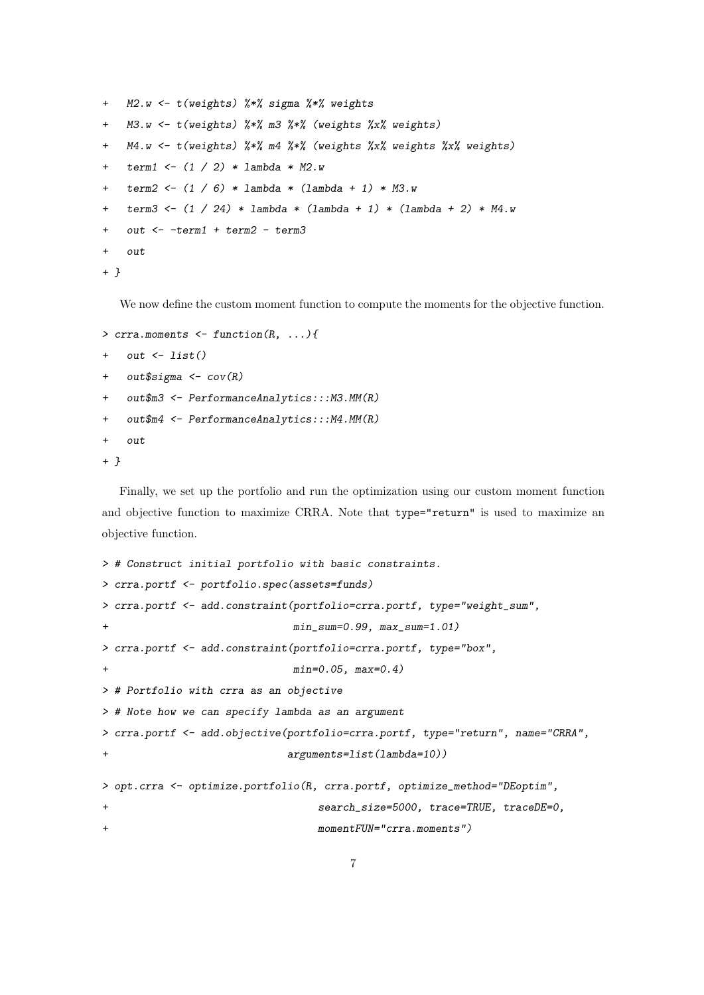```
+ M2.w <- t(weights) %*% sigma %*% weights
+ M3.w <- t(weights) %*% m3 %*% (weights %x% weights)
+ M4.w <- t(weights) %*% m4 %*% (weights %x% weights %x% weights)
+ term1 <- (1 / 2) * lambda * M2.w
+ term2 <- (1 / 6) * lambda * (lambda + 1) * M3.w
+ term3 <- (1 / 24) * lambda * (lambda + 1) * (lambda + 2) * M4.w
+ out <- -term1 + term2 - term3
+ out
+ }
```
We now define the custom moment function to compute the moments for the objective function.

```
> crra.moments \leq function(R, ...){
+ out <- list()
+ out$sigma <- cov(R)
+ out$m3 <- PerformanceAnalytics::: M3. MM(R)
+ out$m4 <- PerformanceAnalytics::: M4. MM(R)
+ out
+ }
```
Finally, we set up the portfolio and run the optimization using our custom moment function and objective function to maximize CRRA. Note that type="return" is used to maximize an objective function.

```
> # Construct initial portfolio with basic constraints.
> crra.portf <- portfolio.spec(assets=funds)
> crra.portf <- add.constraint(portfolio=crra.portf, type="weight_sum",
                          min\_sum=0.99, max\_sum=1.01)> crra.portf <- add.constraint(portfolio=crra.portf, type="box",
+ min=0.05, max=0.4)
> # Portfolio with crra as an objective
> # Note how we can specify lambda as an argument
> crra.portf <- add.objective(portfolio=crra.portf, type="return", name="CRRA",
+ arguments=list(lambda=10))
> opt.crra <- optimize.portfolio(R, crra.portf, optimize_method="DEoptim",
+ search_size=5000, trace=TRUE, traceDE=0,
+ momentFUN="crra.moments")
```